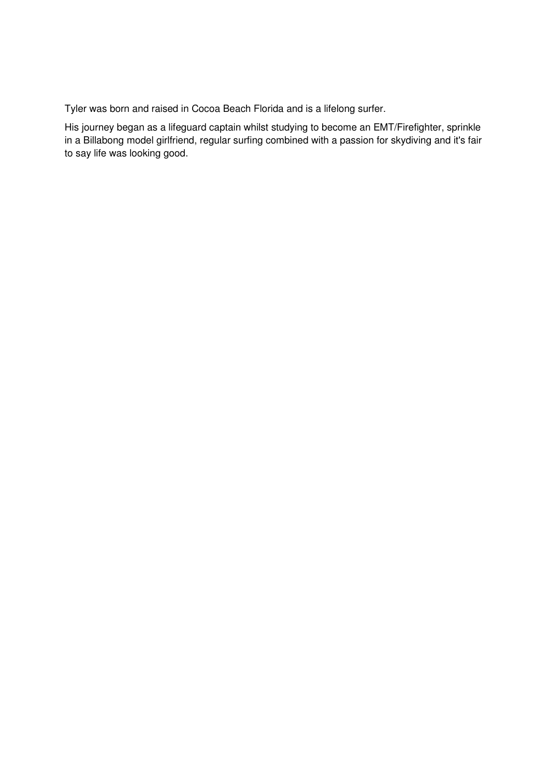Tyler was born and raised in Cocoa Beach Florida and is a lifelong surfer.

His journey began as a lifeguard captain whilst studying to become an EMT/Firefighter, sprinkle in a Billabong model girlfriend, regular surfing combined with a passion for skydiving and it's fair to say life was looking good.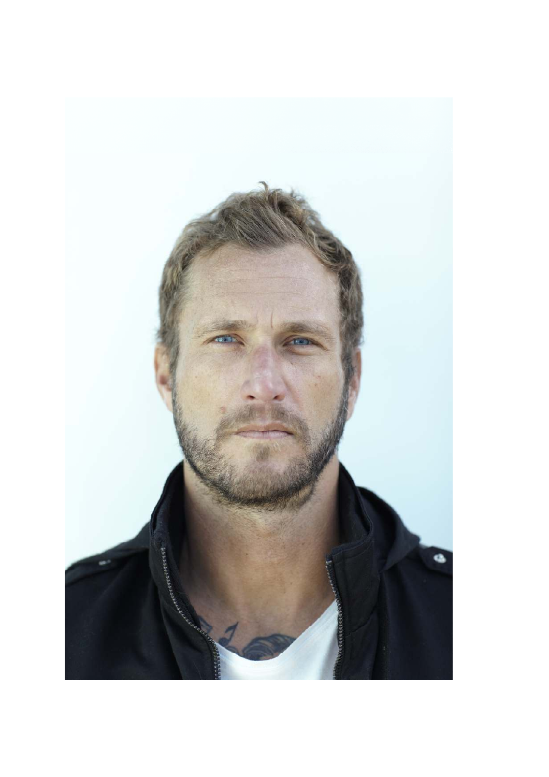